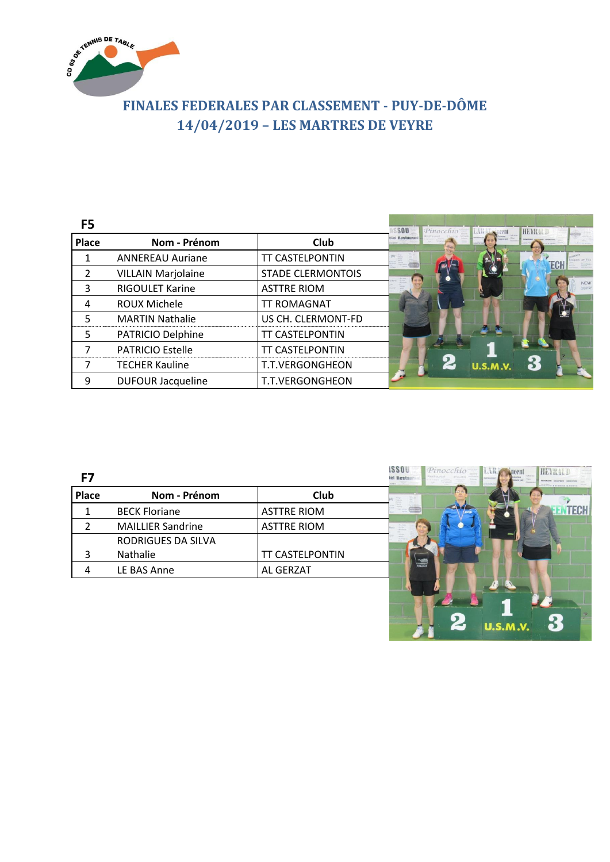

## **FINALES FEDERALES PAR CLASSEMENT - PUY-DE-DÔME 14/04/2019 – LES MARTRES DE VEYRE**

| F <sub>5</sub>           |                           |                          | \$80<br>Pinocchio   Lill<br>HEYRALD |
|--------------------------|---------------------------|--------------------------|-------------------------------------|
| <b>Place</b>             | Nom - Prénom              | <b>Club</b>              | iei Restauran                       |
|                          | <b>ANNEREAU Auriane</b>   | <b>TT CASTELPONTIN</b>   | <b>ECH</b>                          |
| $\overline{\phantom{a}}$ | <b>VILLAIN Marjolaine</b> | <b>STADE CLERMONTOIS</b> |                                     |
| 3                        | RIGOULET Karine           | <b>ASTTRE RIOM</b>       | <b>NEW</b><br>COUNTR                |
| 4                        | ROUX Michele              | <b>TT ROMAGNAT</b>       |                                     |
| 5                        | <b>MARTIN Nathalie</b>    | US CH. CLERMONT-FD       |                                     |
| 5                        | PATRICIO Delphine         | <b>TT CASTELPONTIN</b>   |                                     |
|                          | <b>PATRICIO Estelle</b>   | <b>TT CASTELPONTIN</b>   |                                     |
|                          | <b>TECHER Kauline</b>     | T.T.VERGONGHEON          | $\bf{2}$<br><b>U.S.M.V.</b>         |
| 9                        | <b>DUFOUR Jacqueline</b>  | T.T.VERGONGHEON          |                                     |

| F7           |                          |                    | <b>ISSOU</b><br>Pinocchio I<br>HEYRAUD<br>tel Restau<br>Northern WALDREN at P |
|--------------|--------------------------|--------------------|-------------------------------------------------------------------------------|
| <b>Place</b> | Nom - Prénom             | <b>Club</b>        |                                                                               |
|              | <b>BECK Floriane</b>     | <b>ASTTRE RIOM</b> | <b>TECH</b><br>Mendelalaser                                                   |
|              | <b>MAILLIER Sandrine</b> | <b>ASTTRE RIOM</b> |                                                                               |
|              | RODRIGUES DA SILVA       |                    |                                                                               |
|              | Nathalie                 | TT CASTELPONTIN    |                                                                               |
|              | LE BAS Anne              | AL GERZAT          |                                                                               |
|              |                          |                    |                                                                               |

 $U.S.M.V.$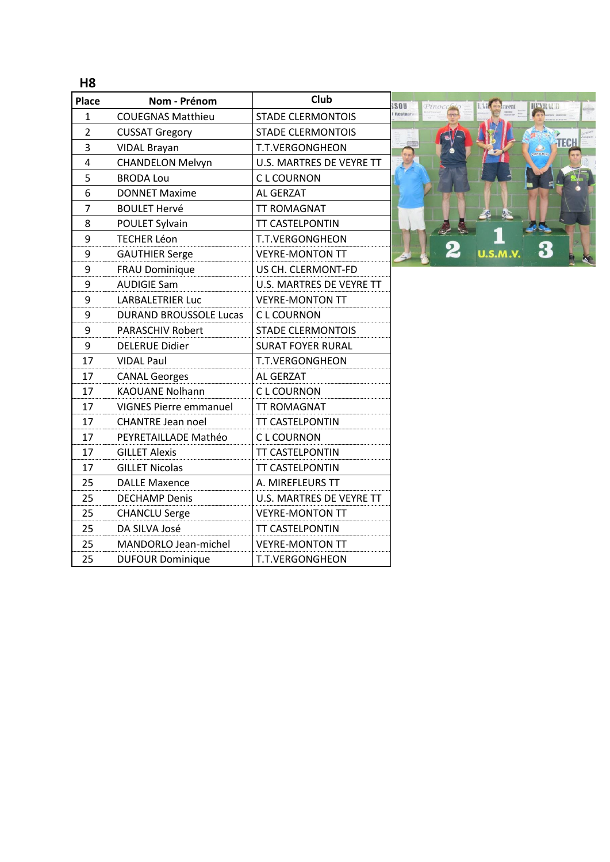**H8**

| Place          | Nom - Prénom                  | Club<br>S;               |
|----------------|-------------------------------|--------------------------|
| $\mathbf{1}$   | <b>COUEGNAS Matthieu</b>      | <b>STADE CLERMONTOIS</b> |
| $\overline{2}$ | <b>CUSSAT Gregory</b>         | <b>STADE CLERMONTOIS</b> |
| 3              | <b>VIDAL Brayan</b>           | T.T.VERGONGHEON          |
| 4              | <b>CHANDELON Melvyn</b>       | U.S. MARTRES DE VEYRE TT |
| 5              | <b>BRODA Lou</b>              | <b>CL COURNON</b>        |
| 6              | <b>DONNET Maxime</b>          | AL GERZAT                |
| 7              | <b>BOULET Hervé</b>           | <b>TT ROMAGNAT</b>       |
| 8              | POULET Sylvain                | <b>TT CASTELPONTIN</b>   |
| 9              | <b>TECHER Léon</b>            | T.T.VERGONGHEON          |
| 9              | <b>GAUTHIER Serge</b>         | <b>VEYRE-MONTON TT</b>   |
| 9              | FRAU Dominique                | US CH. CLERMONT-FD       |
| 9              | <b>AUDIGIE Sam</b>            | U.S. MARTRES DE VEYRE TT |
| 9              | <b>LARBALETRIER Luc</b>       | <b>VEYRE-MONTON TT</b>   |
| 9              | <b>DURAND BROUSSOLE Lucas</b> | C L COURNON              |
| 9              | <b>PARASCHIV Robert</b>       | <b>STADE CLERMONTOIS</b> |
| 9              | <b>DELERUE Didier</b>         | <b>SURAT FOYER RURAL</b> |
| 17             | <b>VIDAL Paul</b>             | <b>T.T.VERGONGHEON</b>   |
| 17             | <b>CANAL Georges</b>          | <b>AL GERZAT</b>         |
| 17             | <b>KAOUANE Nolhann</b>        | C L COURNON              |
| 17             | <b>VIGNES Pierre emmanuel</b> | <b>TT ROMAGNAT</b>       |
| 17             | <b>CHANTRE Jean noel</b>      | <b>TT CASTELPONTIN</b>   |
| 17             | PEYRETAILLADE Mathéo          | <b>CL COURNON</b>        |
| 17             | <b>GILLET Alexis</b>          | <b>TT CASTELPONTIN</b>   |
| 17             | <b>GILLET Nicolas</b>         | <b>TT CASTELPONTIN</b>   |
| 25             | <b>DALLE Maxence</b>          | A. MIREFLEURS TT         |
| 25             | <b>DECHAMP Denis</b>          | U.S. MARTRES DE VEYRE TT |
| 25             | <b>CHANCLU Serge</b>          | <b>VEYRE-MONTON TT</b>   |
| 25             | DA SILVA José                 | <b>TT CASTELPONTIN</b>   |
| 25             | MANDORLO Jean-michel          | <b>VEYRE-MONTON TT</b>   |
| 25             | <b>DUFOUR Dominique</b>       | <b>T.T.VERGONGHEON</b>   |